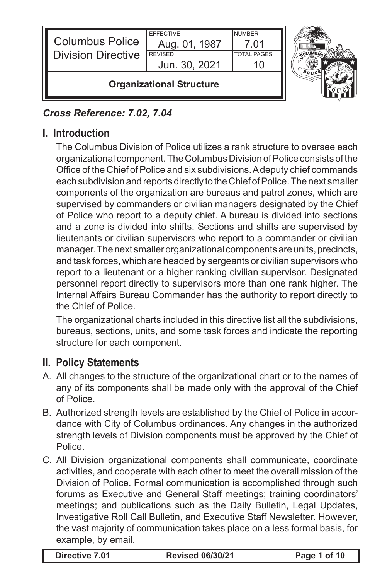| <b>Columbus Police</b><br><b>Division Directive</b> | <b>EFFECTIVE</b><br>Aug. 01, 1987<br><b>REVISED</b><br>Jun. 30, 2021 | <b>NUMBER</b><br>7 01<br><b>TOTAL PAGES</b> |  |
|-----------------------------------------------------|----------------------------------------------------------------------|---------------------------------------------|--|
|                                                     | <b>Organizational Structure</b>                                      |                                             |  |

### *Cross Reference: 7.02, 7.04*

# **I. Introduction**

The Columbus Division of Police utilizes a rank structure to oversee each organizational component. The Columbus Division of Police consists of the Office of the Chief of Police and six subdivisions. A deputy chief commands each subdivision and reports directly to the Chief of Police. The next smaller components of the organization are bureaus and patrol zones, which are supervised by commanders or civilian managers designated by the Chief of Police who report to a deputy chief. A bureau is divided into sections and a zone is divided into shifts. Sections and shifts are supervised by lieutenants or civilian supervisors who report to a commander or civilian manager. The next smaller organizational components are units, precincts, and task forces, which are headed by sergeants or civilian supervisors who report to a lieutenant or a higher ranking civilian supervisor. Designated personnel report directly to supervisors more than one rank higher. The Internal Affairs Bureau Commander has the authority to report directly to the Chief of Police.

The organizational charts included in this directive list all the subdivisions, bureaus, sections, units, and some task forces and indicate the reporting structure for each component.

## **II. Policy Statements**

- A. All changes to the structure of the organizational chart or to the names of any of its components shall be made only with the approval of the Chief of Police.
- B. Authorized strength levels are established by the Chief of Police in accordance with City of Columbus ordinances. Any changes in the authorized strength levels of Division components must be approved by the Chief of Police.
- C. All Division organizational components shall communicate, coordinate activities, and cooperate with each other to meet the overall mission of the Division of Police. Formal communication is accomplished through such forums as Executive and General Staff meetings; training coordinators' meetings; and publications such as the Daily Bulletin, Legal Updates, Investigative Roll Call Bulletin, and Executive Staff Newsletter. However, the vast majority of communication takes place on a less formal basis, for example, by email.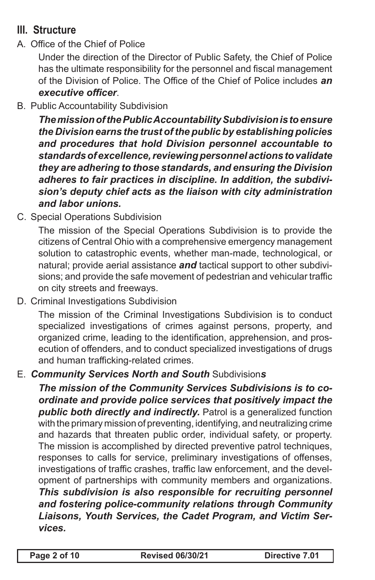# **III. Structure**

A. Office of the Chief of Police

Under the direction of the Director of Public Safety, the Chief of Police has the ultimate responsibility for the personnel and fiscal management of the Division of Police. The Office of the Chief of Police includes *an executive officer*.

B. Public Accountability Subdivision

*The mission of the Public Accountability Subdivision is to ensure the Division earns the trust of the public by establishing policies and procedures that hold Division personnel accountable to standards of excellence, reviewing personnel actions to validate they are adhering to those standards, and ensuring the Division adheres to fair practices in discipline. In addition, the subdivision's deputy chief acts as the liaison with city administration and labor unions.*

C. Special Operations Subdivision

The mission of the Special Operations Subdivision is to provide the citizens of Central Ohio with a comprehensive emergency management solution to catastrophic events, whether man-made, technological, or natural; provide aerial assistance *and* tactical support to other subdivisions; and provide the safe movement of pedestrian and vehicular traffic on city streets and freeways.

D. Criminal Investigations Subdivision

The mission of the Criminal Investigations Subdivision is to conduct specialized investigations of crimes against persons, property, and organized crime, leading to the identification, apprehension, and prosecution of offenders, and to conduct specialized investigations of drugs and human trafficking-related crimes.

E. *Community Services North and South* Subdivision*s*

*The mission of the Community Services Subdivisions is to coordinate and provide police services that positively impact the public both directly and indirectly.* Patrol is a generalized function with the primary mission of preventing, identifying, and neutralizing crime and hazards that threaten public order, individual safety, or property. The mission is accomplished by directed preventive patrol techniques, responses to calls for service, preliminary investigations of offenses, investigations of traffic crashes, traffic law enforcement, and the development of partnerships with community members and organizations. *This subdivision is also responsible for recruiting personnel and fostering police-community relations through Community Liaisons, Youth Services, the Cadet Program, and Victim Services.*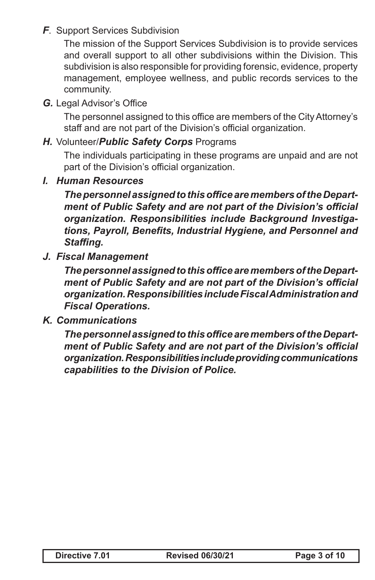### *F*. Support Services Subdivision

The mission of the Support Services Subdivision is to provide services and overall support to all other subdivisions within the Division. This subdivision is also responsible for providing forensic, evidence, property management, employee wellness, and public records services to the community.

*G.* Legal Advisor's Office

The personnel assigned to this office are members of the City Attorney's staff and are not part of the Division's official organization.

### *H.* Volunteer/*Public Safety Corps* Programs

The individuals participating in these programs are unpaid and are not part of the Division's official organization.

*I. Human Resources*

*The personnel assigned to this office are members of the Department of Public Safety and are not part of the Division's official organization. Responsibilities include Background Investigations, Payroll, Benefits, Industrial Hygiene, and Personnel and Staffing.*

*J. Fiscal Management*

*The personnel assigned to this office are members of the Department of Public Safety and are not part of the Division's official organization. Responsibilities include Fiscal Administration and Fiscal Operations.*

*K. Communications*

*The personnel assigned to this office are members of the Department of Public Safety and are not part of the Division's official organization. Responsibilities include providing communications capabilities to the Division of Police.*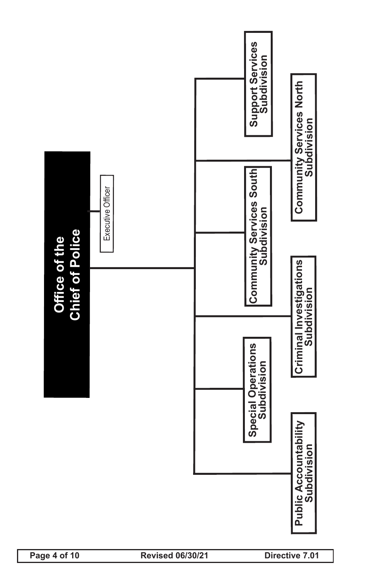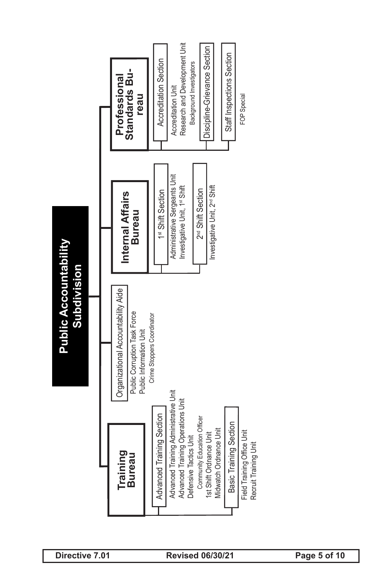Public Accountability<br>
Training<br>
Training a Constant of Constant of Constant of Constant of Constant of Constant of Constant of Constant<br>
Experience Training Section (i.e., and i.e., and i.e., and i.e., and i.e., and i.e. 1st Shift Section 2<sup>nd</sup> Shift Section **Training Bureau** Advanced Training Section Field Training Office Unit Recruit Training Unit Basic Training Section Advanced Training Administrative Unit Advanced Training Operations Unit Defensive Tactics Unit Community Education Officer 1st Shift Ordnance Unit Midwatch Ordnance Unit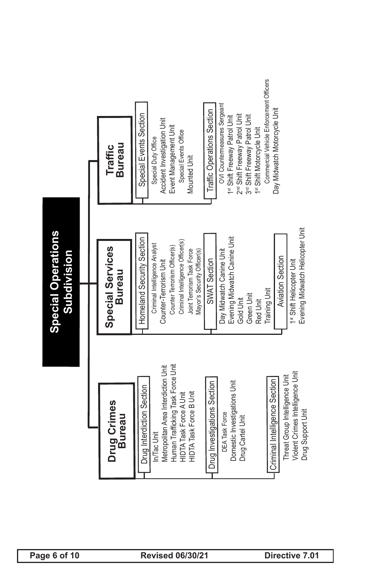| <b>Special Operations</b><br>Subdivision | Bureau<br>Traffic<br>Special Services<br><b>Bureau</b><br>Drug Crimes<br><b>Bureau</b> | Event Management Unit<br>Special Duty Office<br>Mounted Unit<br>Evening Midwatch Canine Unit<br>Homeland Security Section<br>Criminal Intelligence Officer(s)<br>Criminal Intelligence Analyst<br>Counter Terrorism Officer(s)<br>Day Midwatch Canine Unit<br>Joint Terrorism Task Force<br>Mayor's Security Officer(s)<br>Counter-Terrorism Unit<br>SWAT Section<br>Green Unit<br>Gold Unit<br>Human Trafficking Task Force Unit<br>Metropolitan Area Interdiction Unit<br>Domestic Investigations Unit<br>Drug Investigations Section<br>Drug Interdiction Section<br><b>HIDTA Task Force B Unit</b><br>HIDTA Task Force A Unit<br><b>DEA Task Force</b><br>Drug Cartel Unit<br>In/Tac Unit | 1st Shift Motorcycle Unit<br>Evening Midwatch Helicopter Unit<br><b>Aviation Section</b><br>1st Shift Helicopter Unit<br><b>Training Unit</b><br>Red Unit<br>Violent Crimes Intelligence Unit<br>Threat Group Intelligence Unit<br>Criminal Intelligence Section<br>Drug Support Unit |
|------------------------------------------|----------------------------------------------------------------------------------------|-----------------------------------------------------------------------------------------------------------------------------------------------------------------------------------------------------------------------------------------------------------------------------------------------------------------------------------------------------------------------------------------------------------------------------------------------------------------------------------------------------------------------------------------------------------------------------------------------------------------------------------------------------------------------------------------------|---------------------------------------------------------------------------------------------------------------------------------------------------------------------------------------------------------------------------------------------------------------------------------------|
|                                          |                                                                                        | OVI Countermeasures Sergeant<br>Traffic Operations Section<br>Special Events Section<br>2 <sup>rd</sup> Shift Freeway Patrol Unit<br>3 <sup>rd</sup> Shift Freeway Patrol Unit<br>1 <sup>st</sup> Shift Freeway Patrol Unit<br>Accident Investigation Unit<br>Special Events Office                                                                                                                                                                                                                                                                                                                                                                                                           | Commercial Vehicle Enforcement Officers<br>Day Midwatch Motorcycle Unit                                                                                                                                                                                                               |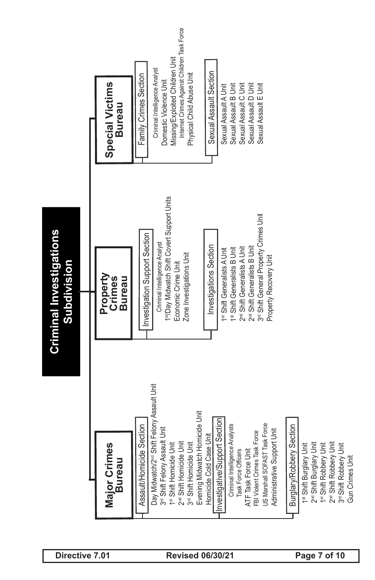

1st Shift Robbery Unit 2<sup>nd</sup> Shift Robbery Unit 3rd Shift Robbery Unit

Gun Crimes Unit

**Gun Crimes Unit**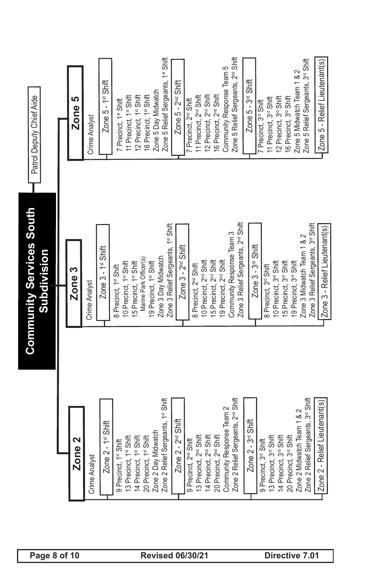| Page 8 of 10                                   |        | Zone <sub>2</sub> | Analyst<br>Crime | Zone 2 - 1 <sup>st</sup> Shift | 9 Precinct, 1 <sup>st</sup> Shift<br>13 Precinct, 1 <sup>st</sup> Shift<br>14 Precinct, 1 <sup>st</sup> Shift<br>20 Precinct, 1 <sup>st</sup> Shift<br>Zone 2 Day Midwatch<br>20ne 2 Relief Sergear |                                                  |                                                  | 2 Day Midwatch         | 2 Relief Sergeants, 1 <sup>st</sup> Shift                 | Zone 2 - 2 <sup>nd</sup> Shift<br><b>Revised 06/30/21</b> |                                   |                                                                         |                                    |                                    | 2 Relief Sergeants, 2 <sup>nd</sup> Shift<br>munity Response Team 2<br>9 Precinct, 2™ Shift<br>13 Precinct, 2™ Shift<br>14 Precinct, 2™ Shift<br>20 Precinct, 2™ Shift<br>Community Response<br>Zone 2 Relief Sergear |                                                | Zone 2 - 3 <sup>rd</sup> Shift |                                   |                                                                          | 9 Precinct, 3 <sup>rs</sup> Shift<br>13 Precinct, 3r <sup>s</sup> Shift<br>14 Precinct, 3r <sup>s</sup> Shift<br>20 Precinct, 3r <sup>s</sup> Shift<br>Zone 2 Relief Sergeau | 2 Midwatch Team 1 & 2      | 2 Relief Sergeants, 3rd Shift<br>Directive 7.01                  | e 2 - Relief Lieutenant(s)<br>$Z$ on |
|------------------------------------------------|--------|-------------------|------------------|--------------------------------|-----------------------------------------------------------------------------------------------------------------------------------------------------------------------------------------------------|--------------------------------------------------|--------------------------------------------------|------------------------|-----------------------------------------------------------|-----------------------------------------------------------|-----------------------------------|-------------------------------------------------------------------------|------------------------------------|------------------------------------|-----------------------------------------------------------------------------------------------------------------------------------------------------------------------------------------------------------------------|------------------------------------------------|--------------------------------|-----------------------------------|--------------------------------------------------------------------------|------------------------------------------------------------------------------------------------------------------------------------------------------------------------------|----------------------------|------------------------------------------------------------------|--------------------------------------|
| <b>Community Services South</b><br>Subdivision | Zone 3 |                   | Crime Analyst    | Zone 3 - 1 <sup>st</sup> Shift | 8 Precinct, 1st Shift                                                                                                                                                                               | 10 Precinct, 1st Shift<br>15 Precinct, 1st Shift | Marine Park Officer(s)                           | 19 Precinct, 1st Shift | Zone 3 Relief Sergeants, 1st Shift<br>Zone 3 Day Midwatch | Zone 3 - 2 <sup>nd</sup> Shift                            |                                   | 10 Precinct, 2 <sup>nd</sup> Shift<br>8 Precinct, 2 <sup>nd</sup> Shift | 15 Precinct, 2 <sup>nd</sup> Shift | 19 Precinct, 2 <sup>nd</sup> Shift | Community Response Team 3                                                                                                                                                                                             | Zone 3 Relief Sergeants, 2 <sup>rd</sup> Shift | Zone 3 - 3 <sup>rd</sup> Shift | 8 Precinct, 3 <sup>rd</sup> Shift | 10 Precinct, 3rd Shift                                                   | 15 Precinct, 3 <sup>rd</sup> Shift                                                                                                                                           | 19 Precinct, 3rd Shift     | Zone 3 Relief Sergeants, 3rd Shift<br>Zone 3 Midwatch Team 1 & 2 | Zone 3 - Relief Lieutenant(s)        |
| Patrol Deputy Chief Aide                       |        | ഥ<br>Zone         | Crime Analyst    | Zone 5 - 1 <sup>st</sup> Shift | 7 Precinct, 1st Shift                                                                                                                                                                               | 11 Precinct, 1st Shift                           | 16 Precinct, 1st Shift<br>12 Precinct, 1st Shift | Zone 5 Day Midwatch    | Zone 5 Relief Sergeants, 1 <sup>st</sup> Shift            | Zone $5 - 2nd$ Shift                                      | 7 Precinct, 2 <sup>nd</sup> Shift | 11 Precinct, 2 <sup>nd</sup> Shift                                      | 12 Precinct, 2 <sup>nd</sup> Shift | 16 Precinct, 2 <sup>nd</sup> Shift | Shift<br>Community Response Team 5<br>Zone 5 Relief Sergeants, 2 <sup>nd</sup>                                                                                                                                        |                                                | Zone 5 - 3 <sup>rd</sup> Shift | Precinct, 3 <sup>rd</sup> Shift   | 12 Precinct, 3 <sup>rd</sup> Shift<br>11 Precinct, 3 <sup>rd</sup> Shift | 16 Precinct, 3rd Shift                                                                                                                                                       | Zone 5 Midwatch Team 1 & 2 | Zone 5 Relief Sergeants, 3rd Shift                               | Zone 5 - Relief Lieutenant(s)        |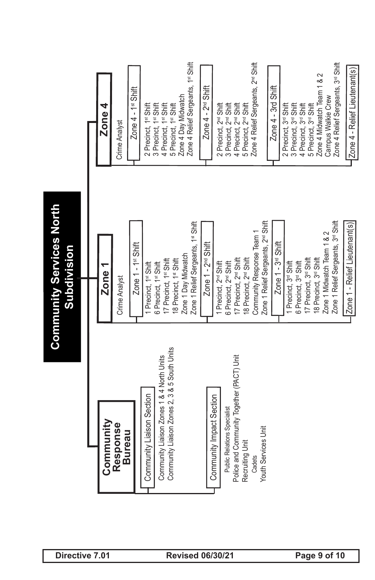| Directive 7.01          |                                                                                           | Community Services North<br>Subdivision                          |                                                                        |
|-------------------------|-------------------------------------------------------------------------------------------|------------------------------------------------------------------|------------------------------------------------------------------------|
|                         |                                                                                           |                                                                  |                                                                        |
|                         | Community                                                                                 | Zone                                                             | Zone $4$                                                               |
|                         | Response<br><b>Bureau</b>                                                                 | Crime Analyst                                                    | Crime Analyst                                                          |
|                         |                                                                                           | Zone 1 - 1 <sup>st</sup> Shift                                   | Zone $4 - 1$ <sup>st</sup> Shift                                       |
|                         | Community Liaison Section                                                                 | I Precinct, 1st Shift<br>6 Precinct, 1st Shift                   | 3 Precinct, 1st Shift<br>2 Precinct, 1st Shift                         |
|                         | Community Liaison Zones 2, 3 & 5 South Units<br>Community Liaison Zones 1 & 4 North Units | 17 Precinct, 1st Shift                                           | 4 Precinct, 1st Shift                                                  |
| <b>Revised 06/30/21</b> |                                                                                           | Zone 1 Day Midwatch<br>18 Precinct, 1st Shift                    | Zone 4 Day Midwatch<br>5 Precinct, 1st Shift                           |
|                         |                                                                                           | Zone 1 Relief Sergeants, 1st Shift                               | Zone 4 Relief Sergeants, 1st Shift                                     |
|                         |                                                                                           | Zone $1 - 2nd$ Shift                                             | Zone $4 - 2nd$ Shift                                                   |
|                         | Community Impact Section                                                                  | I Precinct, 2 <sup>rd</sup> Shift                                | 2 Precinct, 2 <sup>nd</sup> Shift                                      |
|                         | <b>Public Relations Specialist</b>                                                        | 6 Precinct, 2 <sup>nd</sup> Shift                                | 3 Precinct, 2 <sup>rd</sup> Shift                                      |
|                         | Police and Community Together (PACT) Unit<br>Recruiting Unit                              | 17 Precinct, 2 <sup>nd</sup> Shift                               | 4 Precinct, 2 <sup>nd</sup> Shift<br>5 Precinct, 2 <sup>nd</sup> Shift |
|                         | Cadets                                                                                    | Community Response Team 1<br>18 Precinct, 2 <sup>nd</sup> Shift  | Zone 4 Relief Sergeants, 2 <sup>nd</sup> Shift                         |
|                         | <b>Youth Services Unit</b>                                                                | Zone 1 Relief Sergeants, 2 <sup>nd</sup> Shift                   |                                                                        |
|                         |                                                                                           | Zone $1 - 3rd$ Shift                                             | Zone 4 - 3rd Shift                                                     |
|                         |                                                                                           | I Precinct, 3 <sup>rd</sup> Shift                                | 2 Precinct, 3 <sup>rd</sup> Shift                                      |
|                         |                                                                                           | 6 Precinct, 3 <sup>rd</sup> Shift                                | 4 Precinct, 3rd Shift<br>3 Precinct, 3 <sup>rd</sup> Shift             |
|                         |                                                                                           | 17 Precinct, 3 <sup>rd</sup> Shift                               | 5 Precinct, 3 <sup>rd</sup> Shift                                      |
|                         |                                                                                           | 18 Precinct, 3 <sup>rd</sup> Shift                               | Zone 4 Midwatch Team 1 & 2                                             |
| Page 9 of 10            |                                                                                           | Zone 1 Relief Sergeants, 3rd Shift<br>Zone 1 Midwatch Team 1 & 2 | Zone 4 Relief Sergeants, 3rd Shift<br>Campus Walkie Crew               |
|                         |                                                                                           | Zone 1 - Relief Lieutenant(s)                                    | Zone 4 - Relief Lieutenant(s)                                          |
|                         |                                                                                           |                                                                  |                                                                        |